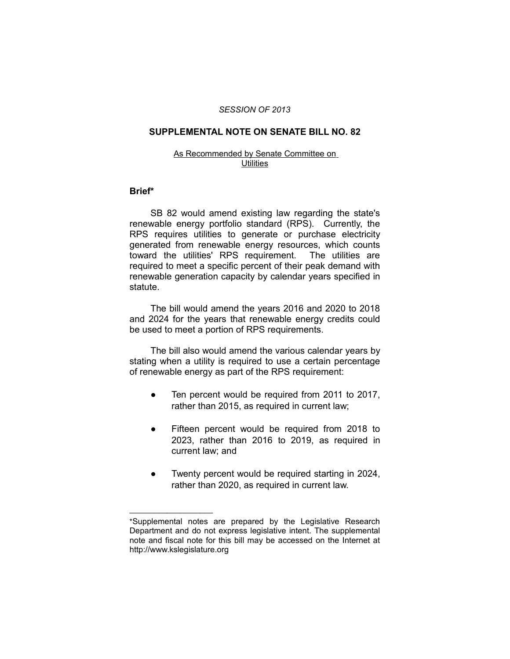## *SESSION OF 2013*

# **SUPPLEMENTAL NOTE ON SENATE BILL NO. 82**

#### As Recommended by Senate Committee on **Utilities**

## **Brief\***

SB 82 would amend existing law regarding the state's renewable energy portfolio standard (RPS). Currently, the RPS requires utilities to generate or purchase electricity generated from renewable energy resources, which counts toward the utilities' RPS requirement. The utilities are required to meet a specific percent of their peak demand with renewable generation capacity by calendar years specified in statute.

The bill would amend the years 2016 and 2020 to 2018 and 2024 for the years that renewable energy credits could be used to meet a portion of RPS requirements.

The bill also would amend the various calendar years by stating when a utility is required to use a certain percentage of renewable energy as part of the RPS requirement:

- Ten percent would be required from 2011 to 2017, rather than 2015, as required in current law;
- Fifteen percent would be required from 2018 to 2023, rather than 2016 to 2019, as required in current law; and
- Twenty percent would be required starting in 2024, rather than 2020, as required in current law.

 $\overline{\phantom{a}}$  , where  $\overline{\phantom{a}}$ 

<sup>\*</sup>Supplemental notes are prepared by the Legislative Research Department and do not express legislative intent. The supplemental note and fiscal note for this bill may be accessed on the Internet at http://www.kslegislature.org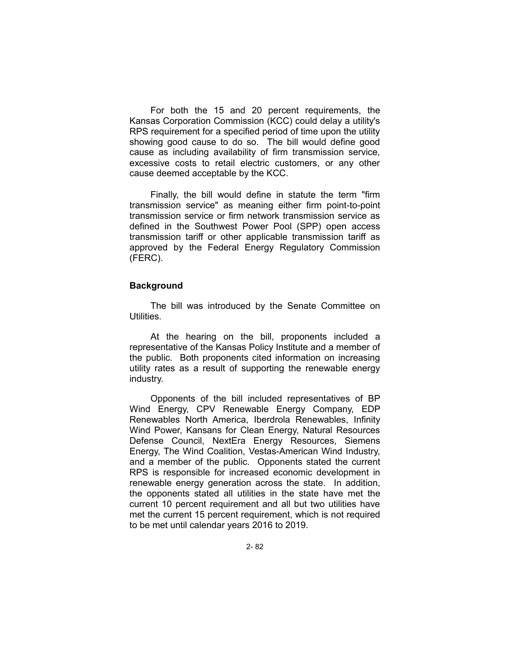For both the 15 and 20 percent requirements, the Kansas Corporation Commission (KCC) could delay a utility's RPS requirement for a specified period of time upon the utility showing good cause to do so. The bill would define good cause as including availability of firm transmission service, excessive costs to retail electric customers, or any other cause deemed acceptable by the KCC.

Finally, the bill would define in statute the term "firm transmission service" as meaning either firm point-to-point transmission service or firm network transmission service as defined in the Southwest Power Pool (SPP) open access transmission tariff or other applicable transmission tariff as approved by the Federal Energy Regulatory Commission (FERC).

# **Background**

The bill was introduced by the Senate Committee on Utilities.

At the hearing on the bill, proponents included a representative of the Kansas Policy Institute and a member of the public. Both proponents cited information on increasing utility rates as a result of supporting the renewable energy industry.

Opponents of the bill included representatives of BP Wind Energy, CPV Renewable Energy Company, EDP Renewables North America, Iberdrola Renewables, Infinity Wind Power, Kansans for Clean Energy, Natural Resources Defense Council, NextEra Energy Resources, Siemens Energy, The Wind Coalition, Vestas-American Wind Industry, and a member of the public. Opponents stated the current RPS is responsible for increased economic development in renewable energy generation across the state. In addition, the opponents stated all utilities in the state have met the current 10 percent requirement and all but two utilities have met the current 15 percent requirement, which is not required to be met until calendar years 2016 to 2019.